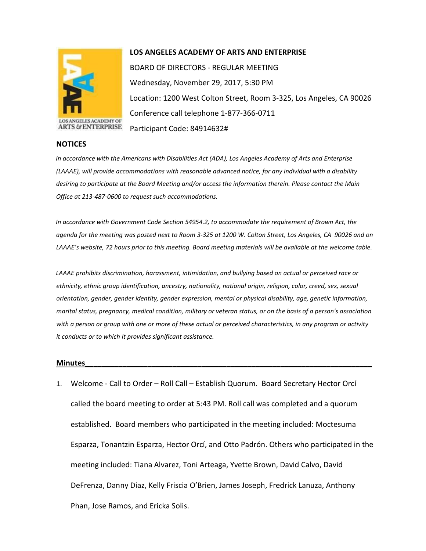

## **LOS ANGELES ACADEMY OF ARTS AND ENTERPRISE**

BOARD OF DIRECTORS - REGULAR MEETING Wednesday, November 29, 2017, 5:30 PM Location: 1200 West Colton Street, Room 3-325, Los Angeles, CA 90026 Conference call telephone 1-877-366-0711 Participant Code: 84914632#

## **ARTS & ENTERPRISE**

**NOTICES** *In accordance with the Americans with Disabilities Act (ADA), Los Angeles Academy of Arts and Enterprise (LAAAE), will provide accommodations with reasonable advanced notice, for any individual with a disability desiring to participate at the Board Meeting and/or access the information therein. Please contact the Main Office at 213-487-0600 to request such accommodations.* 

*In accordance with Government Code Section 54954.2, to accommodate the requirement of Brown Act, the agenda for the meeting was posted next to Room 3-325 at 1200 W. Colton Street, Los Angeles, CA 90026 and on LAAAE's website, 72 hours prior to this meeting. Board meeting materials will be available at the welcome table.* 

*LAAAE prohibits discrimination, harassment, intimidation, and bullying based on actual or perceived race or ethnicity, ethnic group identification, ancestry, nationality, national origin, religion, color, creed, sex, sexual orientation, gender, gender identity, gender expression, mental or physical disability, age, genetic information, marital status, pregnancy, medical condition, military or veteran status, or on the basis of a person's association with a person or group with one or more of these actual or perceived characteristics, in any program or activity it conducts or to which it provides significant assistance.* 

## **Minutes\_\_\_\_\_\_\_\_\_\_\_\_\_\_\_\_\_\_\_\_\_\_\_\_\_\_\_\_\_\_\_\_\_\_\_\_\_\_\_\_\_\_\_\_\_\_\_\_\_\_\_\_\_\_\_\_\_\_\_\_\_\_\_\_\_\_\_\_\_**

1. Welcome - Call to Order – Roll Call – Establish Quorum. Board Secretary Hector Orcí called the board meeting to order at 5:43 PM. Roll call was completed and a quorum established. Board members who participated in the meeting included: Moctesuma Esparza, Tonantzin Esparza, Hector Orcí, and Otto Padrón. Others who participated in the meeting included: Tiana Alvarez, Toni Arteaga, Yvette Brown, David Calvo, David DeFrenza, Danny Diaz, Kelly Friscia O'Brien, James Joseph, Fredrick Lanuza, Anthony Phan, Jose Ramos, and Ericka Solis.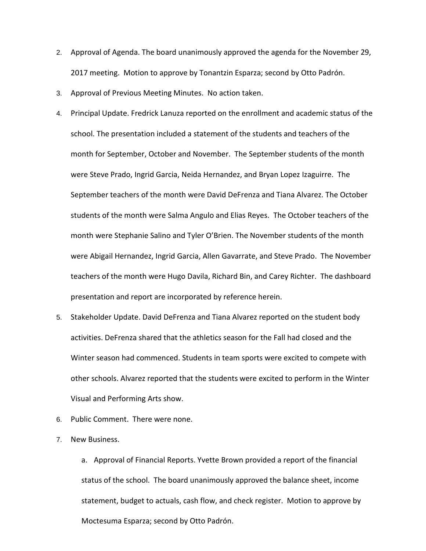- 2. Approval of Agenda. The board unanimously approved the agenda for the November 29, 2017 meeting. Motion to approve by Tonantzin Esparza; second by Otto Padrón.
- 3. Approval of Previous Meeting Minutes. No action taken.
- 4. Principal Update. Fredrick Lanuza reported on the enrollment and academic status of the school. The presentation included a statement of the students and teachers of the month for September, October and November. The September students of the month were Steve Prado, Ingrid Garcia, Neida Hernandez, and Bryan Lopez Izaguirre. The September teachers of the month were David DeFrenza and Tiana Alvarez. The October students of the month were Salma Angulo and Elias Reyes. The October teachers of the month were Stephanie Salino and Tyler O'Brien. The November students of the month were Abigail Hernandez, Ingrid Garcia, Allen Gavarrate, and Steve Prado. The November teachers of the month were Hugo Davila, Richard Bin, and Carey Richter. The dashboard presentation and report are incorporated by reference herein.
- 5. Stakeholder Update. David DeFrenza and Tiana Alvarez reported on the student body activities. DeFrenza shared that the athletics season for the Fall had closed and the Winter season had commenced. Students in team sports were excited to compete with other schools. Alvarez reported that the students were excited to perform in the Winter Visual and Performing Arts show.
- 6. Public Comment. There were none.
- 7. New Business.

a. Approval of Financial Reports. Yvette Brown provided a report of the financial status of the school. The board unanimously approved the balance sheet, income statement, budget to actuals, cash flow, and check register. Motion to approve by Moctesuma Esparza; second by Otto Padrón.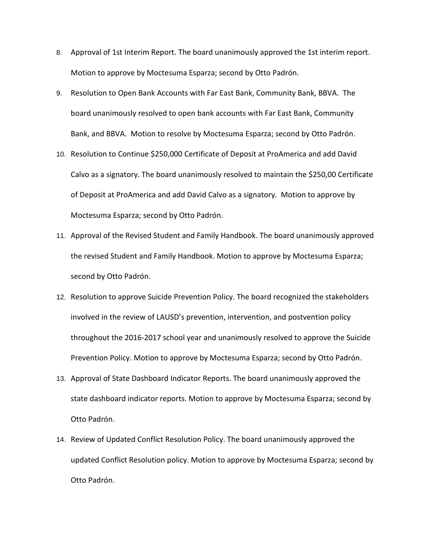- 8. Approval of 1st Interim Report. The board unanimously approved the 1st interim report. Motion to approve by Moctesuma Esparza; second by Otto Padrón.
- 9. Resolution to Open Bank Accounts with Far East Bank, Community Bank, BBVA. The board unanimously resolved to open bank accounts with Far East Bank, Community Bank, and BBVA. Motion to resolve by Moctesuma Esparza; second by Otto Padrón.
- 10. Resolution to Continue \$250,000 Certificate of Deposit at ProAmerica and add David Calvo as a signatory. The board unanimously resolved to maintain the \$250,00 Certificate of Deposit at ProAmerica and add David Calvo as a signatory. Motion to approve by Moctesuma Esparza; second by Otto Padrón.
- 11. Approval of the Revised Student and Family Handbook. The board unanimously approved the revised Student and Family Handbook. Motion to approve by Moctesuma Esparza; second by Otto Padrón.
- 12. Resolution to approve Suicide Prevention Policy. The board recognized the stakeholders involved in the review of LAUSD's prevention, intervention, and postvention policy throughout the 2016-2017 school year and unanimously resolved to approve the Suicide Prevention Policy. Motion to approve by Moctesuma Esparza; second by Otto Padrón.
- 13. Approval of State Dashboard Indicator Reports. The board unanimously approved the state dashboard indicator reports. Motion to approve by Moctesuma Esparza; second by Otto Padrón.
- 14. Review of Updated Conflict Resolution Policy. The board unanimously approved the updated Conflict Resolution policy. Motion to approve by Moctesuma Esparza; second by Otto Padrón.